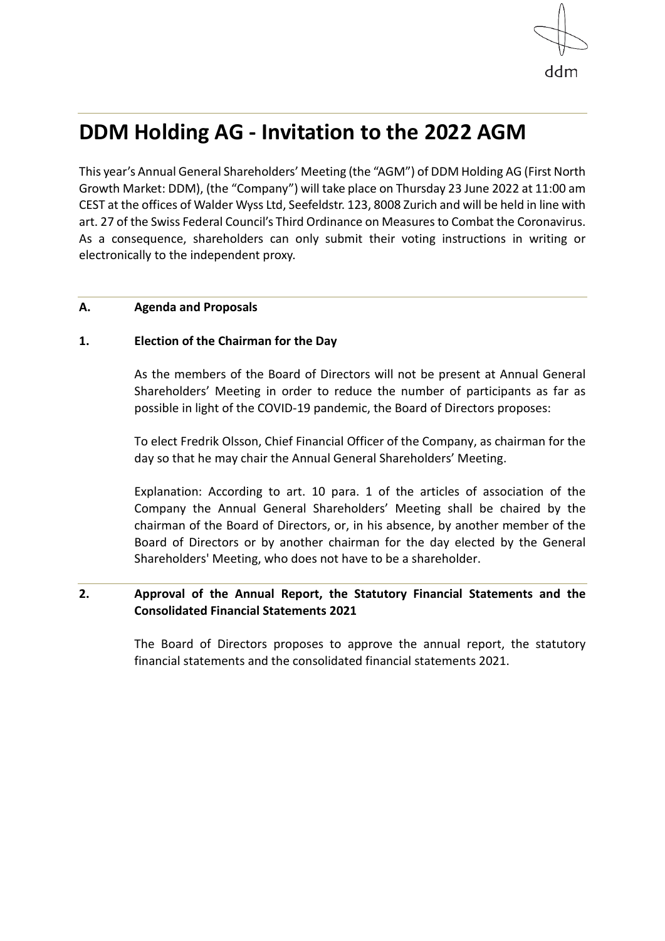

# **DDM Holding AG - Invitation to the 2022 AGM**

This year's Annual General Shareholders' Meeting (the "AGM") of DDM Holding AG (First North Growth Market: DDM), (the "Company") will take place on Thursday 23 June 2022 at 11:00 am CEST at the offices of Walder Wyss Ltd, Seefeldstr. 123, 8008 Zurich and will be held in line with art. 27 of the Swiss Federal Council's Third Ordinance on Measures to Combat the Coronavirus. As a consequence, shareholders can only submit their voting instructions in writing or electronically to the independent proxy.

#### **A. Agenda and Proposals**

#### **1. Election of the Chairman for the Day**

As the members of the Board of Directors will not be present at Annual General Shareholders' Meeting in order to reduce the number of participants as far as possible in light of the COVID-19 pandemic, the Board of Directors proposes:

To elect Fredrik Olsson, Chief Financial Officer of the Company, as chairman for the day so that he may chair the Annual General Shareholders' Meeting.

Explanation: According to art. 10 para. 1 of the articles of association of the Company the Annual General Shareholders' Meeting shall be chaired by the chairman of the Board of Directors, or, in his absence, by another member of the Board of Directors or by another chairman for the day elected by the General Shareholders' Meeting, who does not have to be a shareholder.

## **2. Approval of the Annual Report, the Statutory Financial Statements and the Consolidated Financial Statements 2021**

The Board of Directors proposes to approve the annual report, the statutory financial statements and the consolidated financial statements 2021.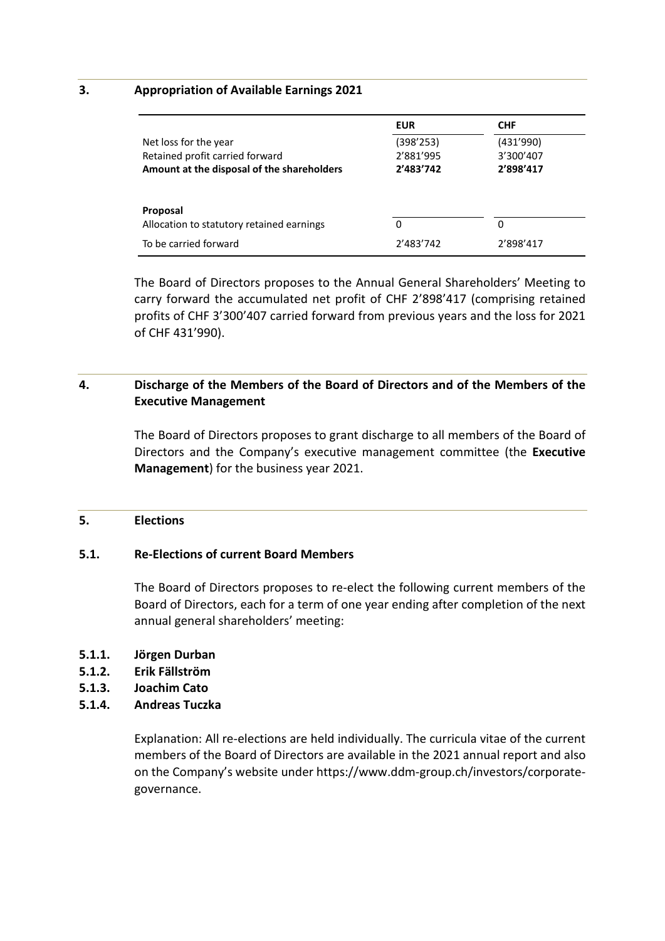#### **3. Appropriation of Available Earnings 2021**

|                                            | <b>EUR</b> | <b>CHF</b> |
|--------------------------------------------|------------|------------|
| Net loss for the year                      | (398'253)  | (431'990)  |
| Retained profit carried forward            | 2'881'995  | 3'300'407  |
| Amount at the disposal of the shareholders | 2'483'742  | 2'898'417  |
| Proposal                                   |            |            |
| Allocation to statutory retained earnings  | 0          | 0          |
| To be carried forward                      | 2'483'742  | 2'898'417  |

The Board of Directors proposes to the Annual General Shareholders' Meeting to carry forward the accumulated net profit of CHF 2'898'417 (comprising retained profits of CHF 3'300'407 carried forward from previous years and the loss for 2021 of CHF 431'990).

#### **4. Discharge of the Members of the Board of Directors and of the Members of the Executive Management**

The Board of Directors proposes to grant discharge to all members of the Board of Directors and the Company's executive management committee (the **Executive Management**) for the business year 2021.

#### **5. Elections**

#### **5.1. Re-Elections of current Board Members**

The Board of Directors proposes to re-elect the following current members of the Board of Directors, each for a term of one year ending after completion of the next annual general shareholders' meeting:

- **5.1.1. Jörgen Durban**
- **5.1.2. Erik Fällström**
- **5.1.3. Joachim Cato**
- **5.1.4. Andreas Tuczka**

Explanation: All re-elections are held individually. The curricula vitae of the current members of the Board of Directors are available in the 2021 annual report and also on the Company's website under [https://www.ddm-group.ch/investors/corporate](https://www.ddm-group.ch/investors/corporate-governance)[governance.](https://www.ddm-group.ch/investors/corporate-governance)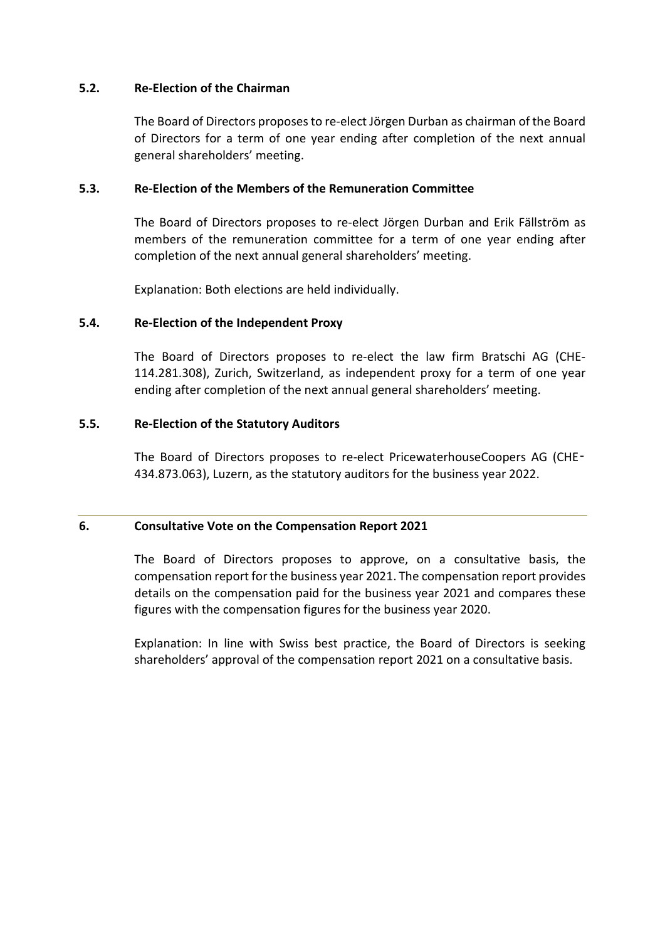#### **5.2. Re-Election of the Chairman**

The Board of Directors proposes to re-elect Jörgen Durban as chairman of the Board of Directors for a term of one year ending after completion of the next annual general shareholders' meeting.

#### **5.3. Re-Election of the Members of the Remuneration Committee**

The Board of Directors proposes to re-elect Jörgen Durban and Erik Fällström as members of the remuneration committee for a term of one year ending after completion of the next annual general shareholders' meeting.

Explanation: Both elections are held individually.

#### **5.4. Re-Election of the Independent Proxy**

The Board of Directors proposes to re-elect the law firm Bratschi AG (CHE-114.281.308), Zurich, Switzerland, as independent proxy for a term of one year ending after completion of the next annual general shareholders' meeting.

#### **5.5. Re-Election of the Statutory Auditors**

The Board of Directors proposes to re-elect PricewaterhouseCoopers AG (CHE-434.873.063), Luzern, as the statutory auditors for the business year 2022.

#### **6. Consultative Vote on the Compensation Report 2021**

The Board of Directors proposes to approve, on a consultative basis, the compensation report for the business year 2021. The compensation report provides details on the compensation paid for the business year 2021 and compares these figures with the compensation figures for the business year 2020.

Explanation: In line with Swiss best practice, the Board of Directors is seeking shareholders' approval of the compensation report 2021 on a consultative basis.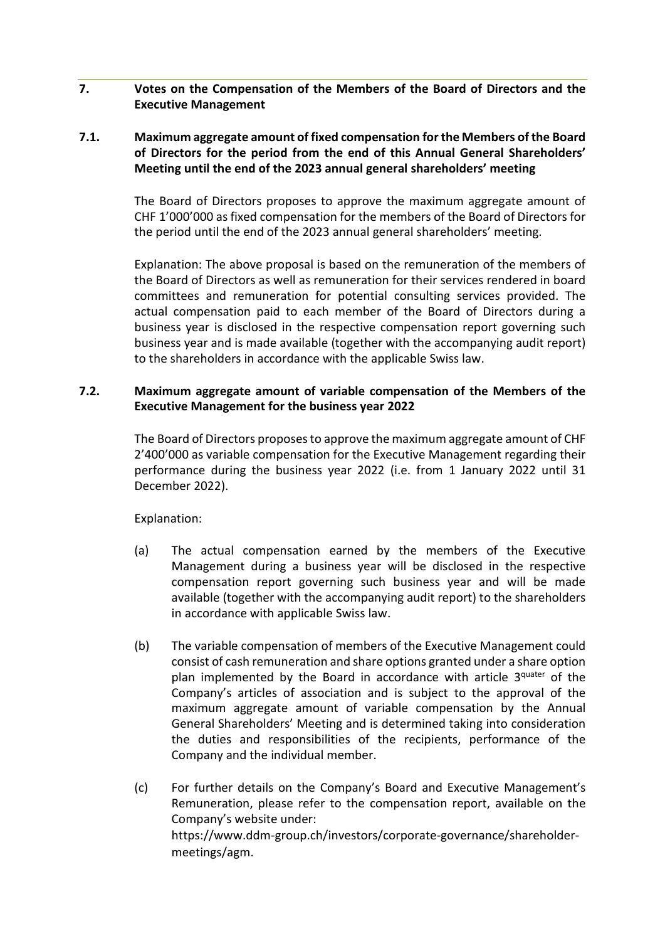**7. Votes on the Compensation of the Members of the Board of Directors and the Executive Management**

#### **7.1. Maximum aggregate amount of fixed compensation for the Members of the Board of Directors for the period from the end of this Annual General Shareholders' Meeting until the end of the 2023 annual general shareholders' meeting**

The Board of Directors proposes to approve the maximum aggregate amount of CHF 1'000'000 as fixed compensation for the members of the Board of Directors for the period until the end of the 2023 annual general shareholders' meeting.

Explanation: The above proposal is based on the remuneration of the members of the Board of Directors as well as remuneration for their services rendered in board committees and remuneration for potential consulting services provided. The actual compensation paid to each member of the Board of Directors during a business year is disclosed in the respective compensation report governing such business year and is made available (together with the accompanying audit report) to the shareholders in accordance with the applicable Swiss law.

#### **7.2. Maximum aggregate amount of variable compensation of the Members of the Executive Management for the business year 2022**

The Board of Directors proposes to approve the maximum aggregate amount of CHF 2'400'000 as variable compensation for the Executive Management regarding their performance during the business year 2022 (i.e. from 1 January 2022 until 31 December 2022).

Explanation:

- (a) The actual compensation earned by the members of the Executive Management during a business year will be disclosed in the respective compensation report governing such business year and will be made available (together with the accompanying audit report) to the shareholders in accordance with applicable Swiss law.
- (b) The variable compensation of members of the Executive Management could consist of cash remuneration and share options granted under a share option plan implemented by the Board in accordance with article 3<sup>quater</sup> of the Company's articles of association and is subject to the approval of the maximum aggregate amount of variable compensation by the Annual General Shareholders' Meeting and is determined taking into consideration the duties and responsibilities of the recipients, performance of the Company and the individual member.
- (c) For further details on the Company's Board and Executive Management's Remuneration, please refer to the compensation report, available on the Company's website under: [https://www.ddm-group.ch/investors/corporate-governance/shareholder](https://www.ddm-group.ch/investors/corporate-governance/shareholder-meetings/agm)[meetings/agm.](https://www.ddm-group.ch/investors/corporate-governance/shareholder-meetings/agm)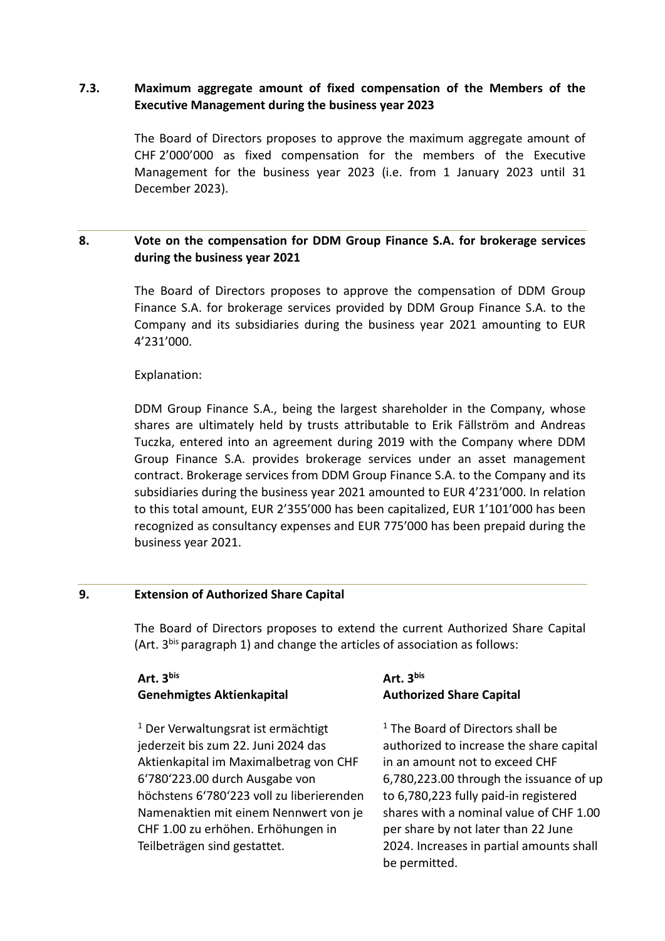## **7.3. Maximum aggregate amount of fixed compensation of the Members of the Executive Management during the business year 2023**

The Board of Directors proposes to approve the maximum aggregate amount of CHF 2'000'000 as fixed compensation for the members of the Executive Management for the business year 2023 (i.e. from 1 January 2023 until 31 December 2023).

## **8. Vote on the compensation for DDM Group Finance S.A. for brokerage services during the business year 2021**

The Board of Directors proposes to approve the compensation of DDM Group Finance S.A. for brokerage services provided by DDM Group Finance S.A. to the Company and its subsidiaries during the business year 2021 amounting to EUR 4'231'000.

#### Explanation:

DDM Group Finance S.A., being the largest shareholder in the Company, whose shares are ultimately held by trusts attributable to Erik Fällström and Andreas Tuczka, entered into an agreement during 2019 with the Company where DDM Group Finance S.A. provides brokerage services under an asset management contract. Brokerage services from DDM Group Finance S.A. to the Company and its subsidiaries during the business year 2021 amounted to EUR 4'231'000. In relation to this total amount, EUR 2'355'000 has been capitalized, EUR 1'101'000 has been recognized as consultancy expenses and EUR 775'000 has been prepaid during the business year 2021.

#### **9. Extension of Authorized Share Capital**

The Board of Directors proposes to extend the current Authorized Share Capital (Art. 3bis paragraph 1) and change the articles of association as follows:

## **Art. 3bis Genehmigtes Aktienkapital**

<sup>1</sup> Der Verwaltungsrat ist ermächtigt jederzeit bis zum 22. Juni 2024 das Aktienkapital im Maximalbetrag von CHF 6'780'223.00 durch Ausgabe von höchstens 6'780'223 voll zu liberierenden Namenaktien mit einem Nennwert von je CHF 1.00 zu erhöhen. Erhöhungen in Teilbeträgen sind gestattet.

## **Art. 3bis Authorized Share Capital**

<sup>1</sup> The Board of Directors shall be authorized to increase the share capital in an amount not to exceed CHF 6,780,223.00 through the issuance of up to 6,780,223 fully paid-in registered shares with a nominal value of CHF 1.00 per share by not later than 22 June 2024. Increases in partial amounts shall be permitted.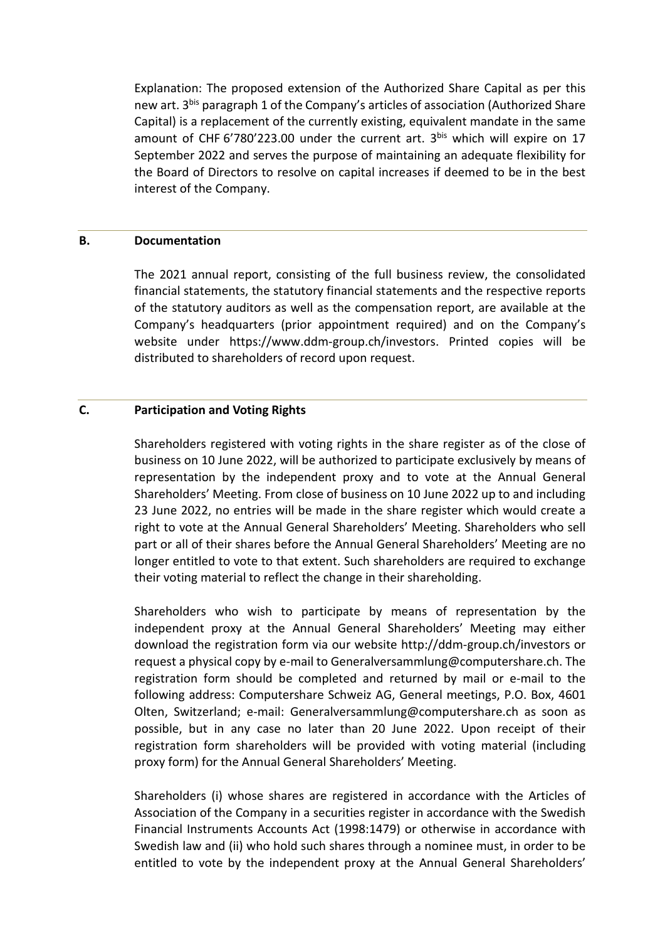Explanation: The proposed extension of the Authorized Share Capital as per this new art. 3<sup>bis</sup> paragraph 1 of the Company's articles of association (Authorized Share Capital) is a replacement of the currently existing, equivalent mandate in the same amount of CHF  $6'780'223.00$  under the current art.  $3<sup>bis</sup>$  which will expire on 17 September 2022 and serves the purpose of maintaining an adequate flexibility for the Board of Directors to resolve on capital increases if deemed to be in the best interest of the Company.

#### **B. Documentation**

The 2021 annual report, consisting of the full business review, the consolidated financial statements, the statutory financial statements and the respective reports of the statutory auditors as well as the compensation report, are available at the Company's headquarters (prior appointment required) and on the Company's website under [https://www.ddm-group.ch/investors.](https://www.ddm-group.ch/investors) Printed copies will be distributed to shareholders of record upon request.

#### **C. Participation and Voting Rights**

Shareholders registered with voting rights in the share register as of the close of business on 10 June 2022, will be authorized to participate exclusively by means of representation by the independent proxy and to vote at the Annual General Shareholders' Meeting. From close of business on 10 June 2022 up to and including 23 June 2022, no entries will be made in the share register which would create a right to vote at the Annual General Shareholders' Meeting. Shareholders who sell part or all of their shares before the Annual General Shareholders' Meeting are no longer entitled to vote to that extent. Such shareholders are required to exchange their voting material to reflect the change in their shareholding.

Shareholders who wish to participate by means of representation by the independent proxy at the Annual General Shareholders' Meeting may either download the registration form via our website [http://ddm-group.ch/investors o](http://ddm-group.ch/investors)r request a physical copy by e-mail to [Generalversammlung@computershare.ch.](mailto:Generalversammlung@computershare.ch) The registration form should be completed and returned by mail or e-mail to the following address: Computershare Schweiz AG, General meetings, P.O. Box, 4601 Olten, Switzerland; e-mail: [Generalversammlung@computershare.ch](mailto:Generalversammlung@computershare.ch) as soon as possible, but in any case no later than 20 June 2022. Upon receipt of their registration form shareholders will be provided with voting material (including proxy form) for the Annual General Shareholders' Meeting.

Shareholders (i) whose shares are registered in accordance with the Articles of Association of the Company in a securities register in accordance with the Swedish Financial Instruments Accounts Act (1998:1479) or otherwise in accordance with Swedish law and (ii) who hold such shares through a nominee must, in order to be entitled to vote by the independent proxy at the Annual General Shareholders'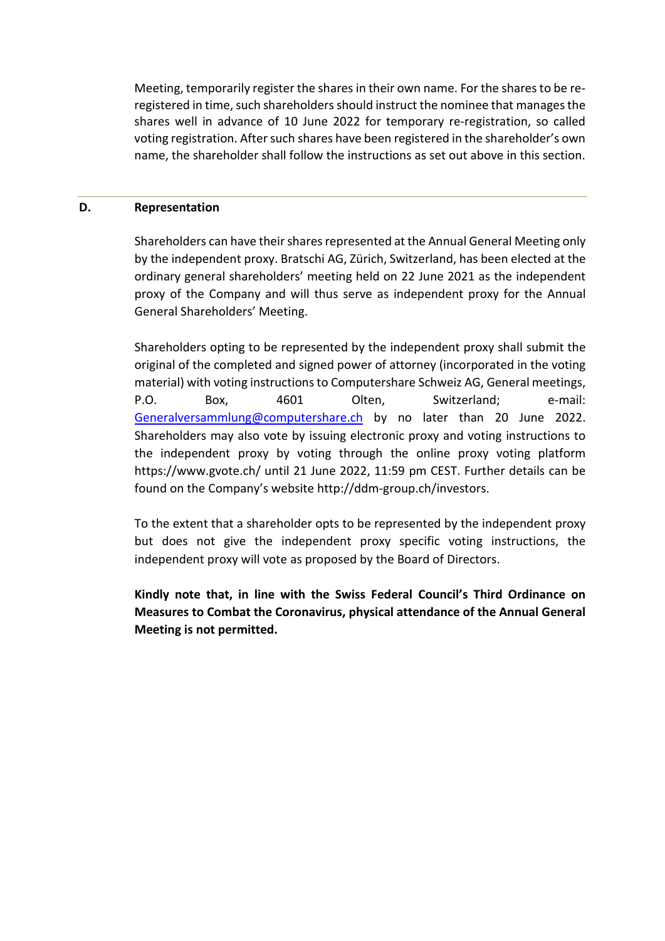Meeting, temporarily register the shares in their own name. For the shares to be reregistered in time, such shareholders should instruct the nominee that manages the shares well in advance of 10 June 2022 for temporary re-registration, so called voting registration. After such shares have been registered in the shareholder's own name, the shareholder shall follow the instructions as set out above in this section.

#### **D. Representation**

Shareholders can have their shares represented at the Annual General Meeting only by the independent proxy. Bratschi AG, Zürich, Switzerland, has been elected at the ordinary general shareholders' meeting held on 22 June 2021 as the independent proxy of the Company and will thus serve as independent proxy for the Annual General Shareholders' Meeting.

Shareholders opting to be represented by the independent proxy shall submit the original of the completed and signed power of attorney (incorporated in the voting material) with voting instructions to Computershare Schweiz AG, General meetings, P.O. Box, 4601 Olten, Switzerland; e-mail: [Generalversammlung@computershare.ch](mailto:Generalversammlung@computershare.ch) by no later than 20 June 2022. Shareholders may also vote by issuing electronic proxy and voting instructions to the independent proxy by voting through the online proxy voting platform <https://www.gvote.ch/> until 21 June 2022, 11:59 pm CEST. Further details can be found on the Company's website [http://ddm-group.ch/investors.](http://ddm-group.ch/investors)

To the extent that a shareholder opts to be represented by the independent proxy but does not give the independent proxy specific voting instructions, the independent proxy will vote as proposed by the Board of Directors.

**Kindly note that, in line with the Swiss Federal Council's Third Ordinance on Measures to Combat the Coronavirus, physical attendance of the Annual General Meeting is not permitted.**